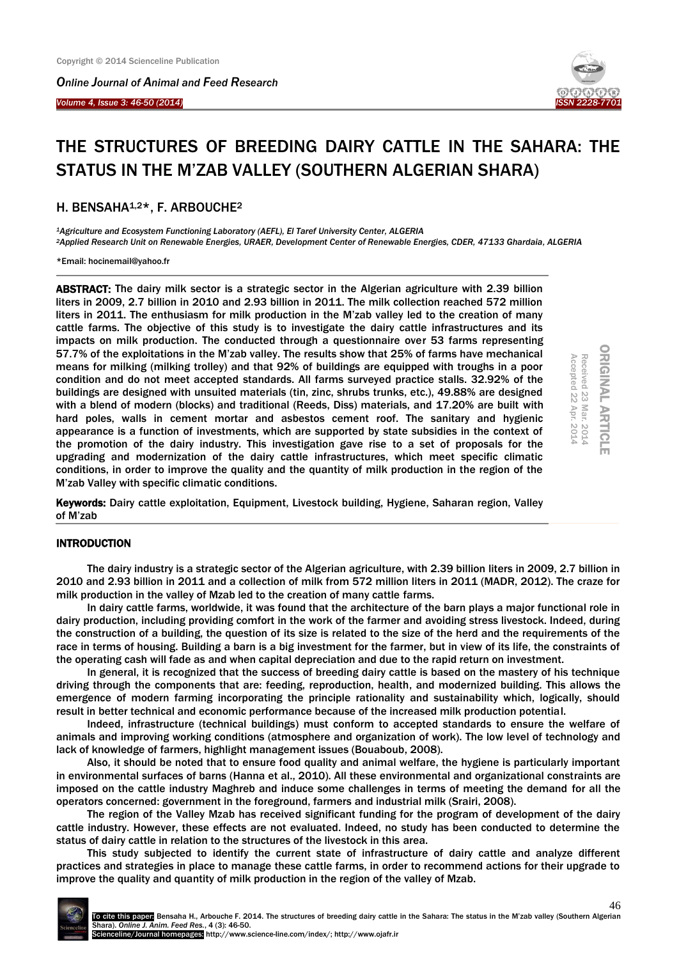*Online Journal of Animal and Feed Research* 

*Volume 4, Issue 3: 46-50 (2014)* 

Ï



# THE STRUCTURES OF BREEDING DAIRY CATTLE IN THE SAHARA: THE STATUS IN THE M'ZAB VALLEY (SOUTHERN ALGERIAN SHARA)

# H. BENSAHA<sup>1,2\*</sup>, F. ARBOUCHE<sup>2</sup>

*<sup>1</sup>Agriculture and Ecosystem Functioning Laboratory (AEFL), El Taref University Center, ALGERIA <sup>2</sup>Applied Research Unit on Renewable Energies, URAER, Development Center of Renewable Energies, CDER, 47133 Ghardaia, ALGERIA*

\*Email: hocinemail@yahoo.fr

ABSTRACT: The dairy milk sector is a strategic sector in the Algerian agriculture with 2.39 billion liters in 2009, 2.7 billion in 2010 and 2.93 billion in 2011. The milk collection reached 572 million liters in 2011. The enthusiasm for milk production in the M'zab valley led to the creation of many cattle farms. The objective of this study is to investigate the dairy cattle infrastructures and its impacts on milk production. The conducted through a questionnaire over 53 farms representing 57.7% of the exploitations in the M'zab valley. The results show that 25% of farms have mechanical means for milking (milking trolley) and that 92% of buildings are equipped with troughs in a poor condition and do not meet accepted standards. All farms surveyed practice stalls. 32.92% of the buildings are designed with unsuited materials (tin, zinc, shrubs trunks, etc.), 49.88% are designed with a blend of modern (blocks) and traditional (Reeds, Diss) materials, and 17.20% are built with hard poles, walls in cement mortar and asbestos cement roof. The sanitary and hygienic appearance is a function of investments, which are supported by state subsidies in the context of the promotion of the dairy industry. This investigation gave rise to a set of proposals for the upgrading and modernization of the dairy cattle infrastructures, which meet specific climatic conditions, in order to improve the quality and the quantity of milk production in the region of the M'zab Valley with specific climatic conditions.

ORIGINAL ARTICLE **ORIGINAL ARTICLE** Received 23 Mar. 2014<br>Accepted 22 Apr. 2014 Accepted 22 Apr. 2014 Mar. 2014

Keywords: Dairy cattle exploitation, Equipment, Livestock building, Hygiene, Saharan region, Valley of M'zab

## INTRODUCTION

The dairy industry is a strategic sector of the Algerian agriculture, with 2.39 billion liters in 2009, 2.7 billion in 2010 and 2.93 billion in 2011 and a collection of milk from 572 million liters in 2011 (MADR, 2012). The craze for milk production in the valley of Mzab led to the creation of many cattle farms.

In dairy cattle farms, worldwide, it was found that the architecture of the barn plays a major functional role in dairy production, including providing comfort in the work of the farmer and avoiding stress livestock. Indeed, during the construction of a building, the question of its size is related to the size of the herd and the requirements of the race in terms of housing. Building a barn is a big investment for the farmer, but in view of its life, the constraints of the operating cash will fade as and when capital depreciation and due to the rapid return on investment.

In general, it is recognized that the success of breeding dairy cattle is based on the mastery of his technique driving through the components that are: feeding, reproduction, health, and modernized building. This allows the emergence of modern farming incorporating the principle rationality and sustainability which, logically, should result in better technical and economic performance because of the increased milk production potential.

Indeed, infrastructure (technical buildings) must conform to accepted standards to ensure the welfare of animals and improving working conditions (atmosphere and organization of work). The low level of technology and lack of knowledge of farmers, highlight management issues (Bouaboub, 2008).

Also, it should be noted that to ensure food quality and animal welfare, the hygiene is particularly important in environmental surfaces of barns (Hanna et al., 2010). All these environmental and organizational constraints are imposed on the cattle industry Maghreb and induce some challenges in terms of meeting the demand for all the operators concerned: government in the foreground, farmers and industrial milk (Srairi, 2008).

The region of the Valley Mzab has received significant funding for the program of development of the dairy cattle industry. However, these effects are not evaluated. Indeed, no study has been conducted to determine the status of dairy cattle in relation to the structures of the livestock in this area.

This study subjected to identify the current state of infrastructure of dairy cattle and analyze different practices and strategies in place to manage these cattle farms, in order to recommend actions for their upgrade to improve the quality and quantity of milk production in the region of the valley of Mzab.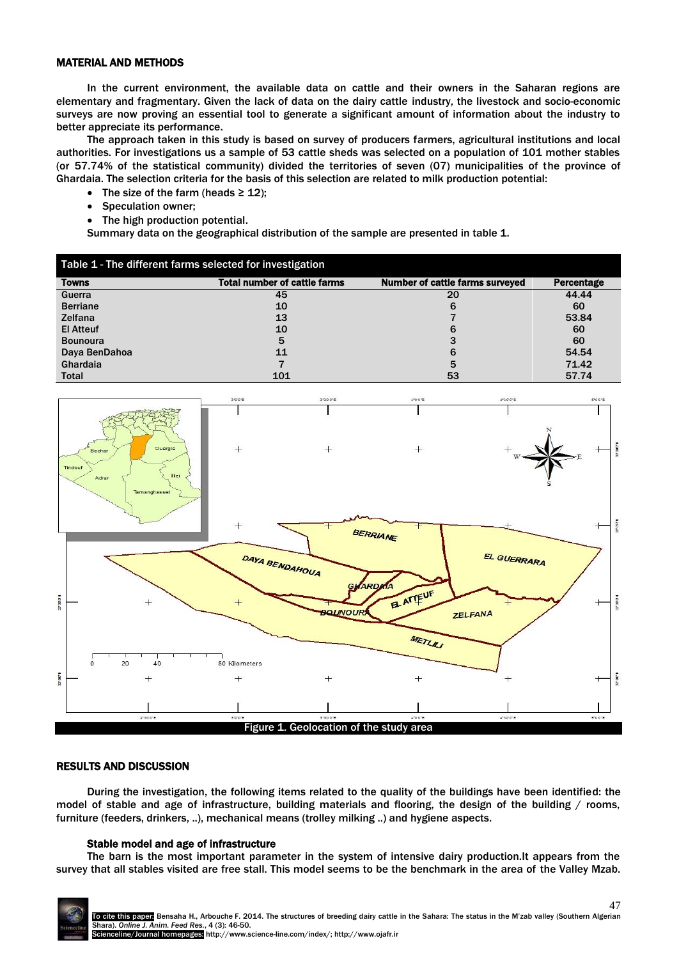## MATERIAL AND METHODS

In the current environment, the available data on cattle and their owners in the Saharan regions are elementary and fragmentary. Given the lack of data on the dairy cattle industry, the livestock and socio-economic surveys are now proving an essential tool to generate a significant amount of information about the industry to better appreciate its performance.

The approach taken in this study is based on survey of producers farmers, agricultural institutions and local authorities. For investigations us a sample of 53 cattle sheds was selected on a population of 101 mother stables (or 57.74% of the statistical community) divided the territories of seven (07) municipalities of the province of Ghardaia. The selection criteria for the basis of this selection are related to milk production potential:

- The size of the farm (heads  $\geq 12$ );
- Speculation owner;
- The high production potential.

Summary data on the geographical distribution of the sample are presented in table 1.

| Table 1 - The different farms selected for investigation |                                     |                                        |            |  |
|----------------------------------------------------------|-------------------------------------|----------------------------------------|------------|--|
| Towns                                                    | <b>Total number of cattle farms</b> | <b>Number of cattle farms surveyed</b> | Percentage |  |
| Guerra                                                   | 45                                  | 20                                     | 44.44      |  |
| <b>Berriane</b>                                          | 10                                  | 6                                      | 60         |  |
| <b>Zelfana</b>                                           | 13                                  |                                        | 53.84      |  |
| <b>El Atteuf</b>                                         | 10                                  | 6                                      | 60         |  |
| <b>Bounoura</b>                                          | 5                                   | 3                                      | 60         |  |
| Daya BenDahoa                                            | 11                                  | 6                                      | 54.54      |  |
| Ghardaia                                                 |                                     | 5                                      | 71.42      |  |
| <b>Total</b>                                             | 101                                 | 53                                     | 57.74      |  |



# RESULTS AND DISCUSSION

During the investigation, the following items related to the quality of the buildings have been identified: the model of stable and age of infrastructure, building materials and flooring, the design of the building / rooms, furniture (feeders, drinkers, ..), mechanical means (trolley milking ..) and hygiene aspects.

#### Stable model and age of infrastructure

The barn is the most important parameter in the system of intensive dairy production.It appears from the survey that all stables visited are free stall. This model seems to be the benchmark in the area of the Valley Mzab.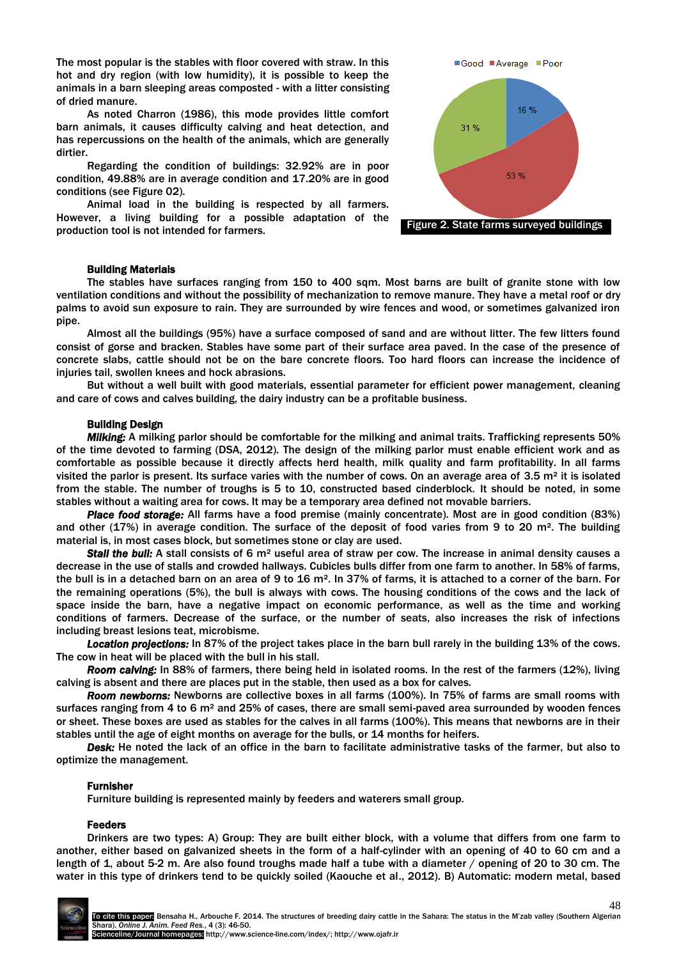The most popular is the stables with floor covered with straw. In this hot and dry region (with low humidity), it is possible to keep the animals in a barn sleeping areas composted - with a litter consisting of dried manure.

As noted Charron (1986), this mode provides little comfort barn animals, it causes difficulty calving and heat detection, and has repercussions on the health of the animals, which are generally dirtier.

Regarding the condition of buildings: 32.92% are in poor condition, 49.88% are in average condition and 17.20% are in good conditions (see Figure 02).

Animal load in the building is respected by all farmers. However, a living building for a possible adaptation of the production tool is not intended for farmers.



## Building Materials

The stables have surfaces ranging from 150 to 400 sqm. Most barns are built of granite stone with low ventilation conditions and without the possibility of mechanization to remove manure. They have a metal roof or dry palms to avoid sun exposure to rain. They are surrounded by wire fences and wood, or sometimes galvanized iron pipe.

Almost all the buildings (95%) have a surface composed of sand and are without litter. The few litters found consist of gorse and bracken. Stables have some part of their surface area paved. In the case of the presence of concrete slabs, cattle should not be on the bare concrete floors. Too hard floors can increase the incidence of injuries tail, swollen knees and hock abrasions.

But without a well built with good materials, essential parameter for efficient power management, cleaning and care of cows and calves building, the dairy industry can be a profitable business.

## Building Design

*Milking:* A milking parlor should be comfortable for the milking and animal traits. Trafficking represents 50% of the time devoted to farming (DSA, 2012). The design of the milking parlor must enable efficient work and as comfortable as possible because it directly affects herd health, milk quality and farm profitability. In all farms visited the parlor is present. Its surface varies with the number of cows. On an average area of  $3.5$  m<sup>2</sup> it is isolated from the stable. The number of troughs is 5 to 10, constructed based cinderblock.It should be noted, in some stables without a waiting area for cows. It may be a temporary area defined not movable barriers.

*Place food storage:* All farms have a food premise (mainly concentrate). Most are in good condition (83%) and other  $(17%)$  in average condition. The surface of the deposit of food varies from 9 to 20 m<sup>2</sup>. The building material is, in most cases block, but sometimes stone or clay are used.

*Stall the bull:* A stall consists of 6 m² useful area of straw per cow. The increase in animal density causes a decrease in the use of stalls and crowded hallways. Cubicles bulls differ from one farm to another. In 58% of farms, the bull is in a detached barn on an area of 9 to 16 m<sup>2</sup>. In 37% of farms, it is attached to a corner of the barn. For the remaining operations (5%), the bull is always with cows. The housing conditions of the cows and the lack of space inside the barn, have a negative impact on economic performance, as well as the time and working conditions of farmers.Decrease of the surface, or the number of seats, also increases the risk of infections including breast lesions teat, microbisme.

*Location projections:* In 87% of the project takes place in the barn bull rarely in the building 13% of the cows. The cow in heat will be placed with the bull in his stall.

*Room calving:* In 88% of farmers, there being held in isolated rooms. In the rest of the farmers (12%), living calving is absent and there are places put in the stable, then used as a box for calves.

*Room newborns:* Newborns are collective boxes in all farms (100%). In 75% of farms are small rooms with surfaces ranging from 4 to 6 m² and 25% of cases, there are small semi-paved area surrounded by wooden fences or sheet.These boxes are used as stables for the calves in all farms (100%). This means that newborns are in their stables until the age of eight months on average for the bulls, or 14 months for heifers.

*Desk:* He noted the lack of an office in the barn to facilitate administrative tasks of the farmer, but also to optimize the management.

## Furnisher

Furniture building is represented mainly by feeders and waterers small group.

## Feeders

Drinkers are two types: A) Group: They are built either block, with a volume that differs from one farm to another, either based on galvanized sheets in the form of a half-cylinder with an opening of 40 to 60 cm and a length of 1, about 5-2 m. Are also found troughs made half a tube with a diameter / opening of 20 to 30 cm. The water in this type of drinkers tend to be quickly soiled (Kaouche et al., 2012). B) Automatic: modern metal, based

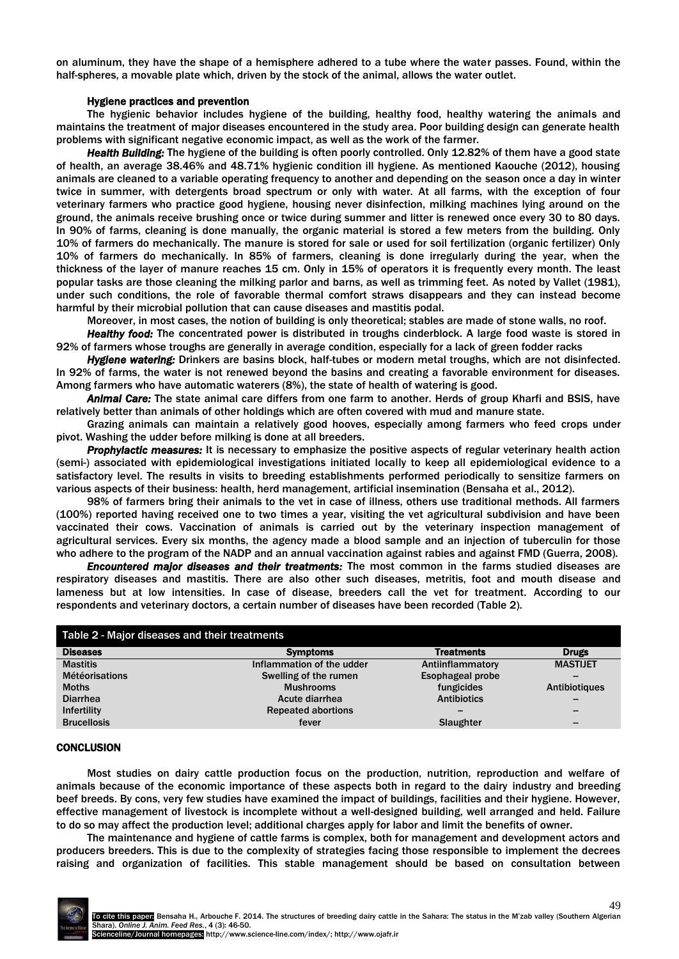on aluminum, they have the shape of a hemisphere adhered to a tube where the water passes. Found, within the half-spheres, a movable plate which, driven by the stock of the animal, allows the water outlet.

#### Hygiene practices and prevention

The hygienic behavior includes hygiene of the building, healthy food, healthy watering the animals and maintains the treatment of major diseases encountered in the study area. Poor building design can generate health problems with significant negative economic impact, as well as the work of the farmer.

*Health Building:* The hygiene of the building is often poorly controlled. Only 12.82% of them have a good state of health, an average 38.46% and 48.71% hygienic condition ill hygiene. As mentioned Kaouche (2012), housing animals are cleaned to a variable operating frequency to another and depending on the season once a day in winter twice in summer, with detergents broad spectrum or only with water.At all farms, with the exception of four veterinary farmers who practice good hygiene, housing never disinfection, milking machines lying around on the ground, the animals receive brushing once or twice during summer and litter is renewed once every 30 to 80 days. In 90% of farms, cleaning is done manually, the organic material is stored a few meters from the building. Only 10% of farmers do mechanically. The manure is stored for sale or used for soil fertilization (organic fertilizer) Only 10% of farmers do mechanically. In 85% of farmers, cleaning is done irregularly during the year, when the thickness of the layer of manure reaches 15 cm. Only in 15% of operators it is frequently every month. The least popular tasks are those cleaning the milking parlor and barns, as well as trimming feet. As noted by Vallet (1981), under such conditions, the role of favorable thermal comfort straws disappears and they can instead become harmful by their microbial pollution that can cause diseases and mastitis podal.

Moreover, in most cases, the notion of building is only theoretical; stables are made of stone walls, no roof.

*Healthy food:* The concentrated power is distributed in troughs cinderblock. A large food waste is stored in 92% of farmers whose troughs are generally in average condition, especially for a lack of green fodder racks

*Hygiene watering:* Drinkers are basins block, half-tubes or modern metal troughs, which are not disinfected. In 92% of farms, the water is not renewed beyond the basins and creating a favorable environment for diseases. Among farmers who have automatic waterers (8%), the state of health of watering is good.

*Animal Care:* The state animal care differs from one farm to another. Herds of group Kharfi and BSIS, have relatively better than animals of other holdings which are often covered with mud and manure state.

Grazing animals can maintain a relatively good hooves, especially among farmers who feed crops under pivot. Washing the udder before milking is done at all breeders.

*Prophylactic measures:* It is necessary to emphasize the positive aspects of regular veterinary health action (semi-) associated with epidemiological investigations initiated locally to keep all epidemiological evidence to a satisfactory level. The results in visits to breeding establishments performed periodically to sensitize farmers on various aspects of their business: health, herd management, artificial insemination (Bensaha et al., 2012).

98% of farmers bring their animals to the vet in case of illness, others use traditional methods. All farmers (100%) reported having received one to two times a year, visiting the vet agricultural subdivision and have been vaccinated their cows. Vaccination of animals is carried out by the veterinary inspection management of agricultural services. Every six months, the agency made a blood sample and an injection of tuberculin for those who adhere to the program of the NADP and an annual vaccination against rabies and against FMD (Guerra, 2008).

*Encountered major diseases and their treatments:* The most common in the farms studied diseases are respiratory diseases and mastitis. There are also other such diseases, metritis, foot and mouth disease and lameness but at low intensities. In case of disease, breeders call the vet for treatment. According to our respondents and veterinary doctors, a certain number of diseases have been recorded (Table 2).

| Table 2 - Major diseases and their treatments |                           |                    |                 |  |
|-----------------------------------------------|---------------------------|--------------------|-----------------|--|
| <b>Diseases</b>                               | <b>Symptoms</b>           | <b>Treatments</b>  | <b>Drugs</b>    |  |
| <b>Mastitis</b>                               | Inflammation of the udder | Antiinflammatory   | <b>MASTIJET</b> |  |
| <b>Météorisations</b>                         | Swelling of the rumen     | Esophageal probe   |                 |  |
| <b>Moths</b>                                  | <b>Mushrooms</b>          | fungicides         | Antibiotiques   |  |
| <b>Diarrhea</b>                               | Acute diarrhea            | <b>Antibiotics</b> |                 |  |
| Infertility                                   | <b>Repeated abortions</b> |                    |                 |  |
| <b>Brucellosis</b>                            | fever                     | Slaughter          | -               |  |

#### **CONCLUSION**

Most studies on dairy cattle production focus on the production, nutrition, reproduction and welfare of animals because of the economic importance of these aspects both in regard to the dairy industry and breeding beef breeds. By cons, very few studies have examined the impact of buildings, facilities and their hygiene. However, effective management of livestock is incomplete without a well-designed building, well arranged and held. Failure to do so may affect the production level; additional charges apply for labor and limit the benefits of owner.

The maintenance and hygiene of cattle farms is complex, both for management and development actors and producers breeders. This is due to the complexity of strategies facing those responsible to implement the decrees raising and organization of facilities. This stable management should be based on consultation between